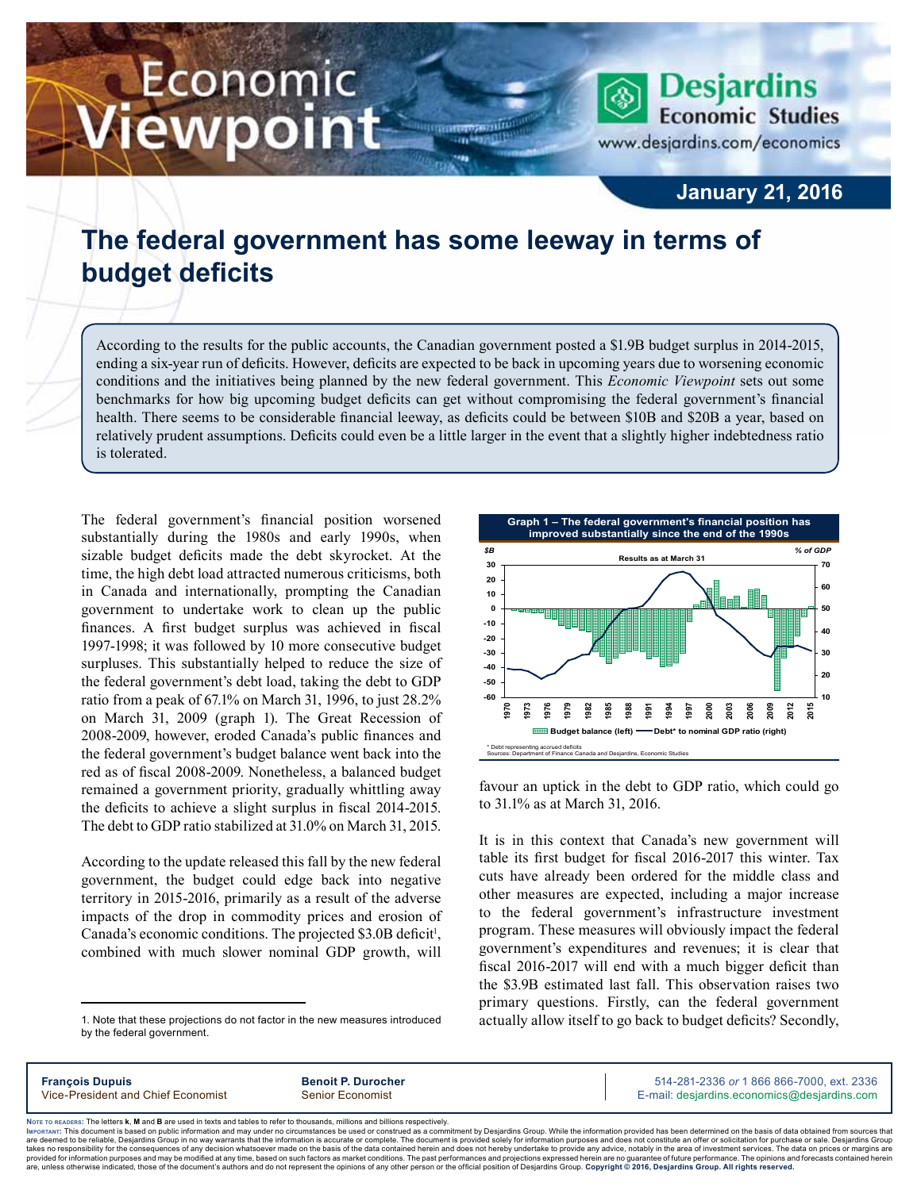# Economic ewpoint

**Desjardins Economic Studies** www.desjardins.com/economics

### **January 21, 2016**

## **The federal government has some leeway in terms of budget deficits**

According to the results for the public accounts, the Canadian government posted a \$1.9B budget surplus in 2014-2015, ending a six-year run of deficits. However, deficits are expected to be back in upcoming years due to worsening economic conditions and the initiatives being planned by the new federal government. This *Economic Viewpoint* sets out some benchmarks for how big upcoming budget deficits can get without compromising the federal government's financial health. There seems to be considerable financial leeway, as deficits could be between \$10B and \$20B a year, based on relatively prudent assumptions. Deficits could even be a little larger in the event that a slightly higher indebtedness ratio is tolerated.

m

The federal government's financial position worsened substantially during the 1980s and early 1990s, when sizable budget deficits made the debt skyrocket. At the time, the high debt load attracted numerous criticisms, both in Canada and internationally, prompting the Canadian government to undertake work to clean up the public finances. A first budget surplus was achieved in fiscal 1997‑1998; it was followed by 10 more consecutive budget surpluses. This substantially helped to reduce the size of the federal government's debt load, taking the debt to GDP ratio from a peak of 67.1% on March 31, 1996, to just 28.2% on March 31, 2009 (graph 1). The Great Recession of 2008‑2009, however, eroded Canada's public finances and the federal government's budget balance went back into the red as of fiscal 2008‑2009. Nonetheless, a balanced budget remained a government priority, gradually whittling away the deficits to achieve a slight surplus in fiscal 2014‑2015. The debt to GDP ratio stabilized at 31.0% on March 31, 2015.

According to the update released this fall by the new federal government, the budget could edge back into negative territory in 2015‑2016, primarily as a result of the adverse impacts of the drop in commodity prices and erosion of Canada's economic conditions. The projected \$3.0B deficit<sup>1</sup>, combined with much slower nominal GDP growth, will



favour an uptick in the debt to GDP ratio, which could go to 31.1% as at March 31, 2016.

It is in this context that Canada's new government will table its first budget for fiscal 2016‑2017 this winter. Tax cuts have already been ordered for the middle class and other measures are expected, including a major increase to the federal government's infrastructure investment program. These measures will obviously impact the federal government's expenditures and revenues; it is clear that fiscal 2016‑2017 will end with a much bigger deficit than the \$3.9B estimated last fall. This observation raises two primary questions. Firstly, can the federal government actually allow itself to go back to budget deficits? Secondly,

**François Dupuis Benoit P. Durocher** 514-281-2336 *or* 1 866 866-7000, ext. 2336 Vice-President and Chief Economist Senior Economist Senior Economist E-mail: desjardins.economics@desjardins.com

Noте то келоекs: The letters **k, M** and **B** are used in texts and tables to refer to thousands, millions and billions respectively.<br>Імроктлит: This document is based on public information and may under no circumstances be are deemed to be reliable. Desiardins Group in no way warrants that the information is accurate or complete. The document is provided solely for information purposes and does not constitute an offer or solicitation for pur takes no responsibility for the consequences of any decision whatsoever made on the basis of the data contained herein and does not hereby undertake to provide any advice, notably in the area of investment services. The da .<br>are, unless otherwise indicated, those of the document's authors and do not represent the opinions of any other person or the official position of Desjardins Group. Copyright © 2016, Desjardins Group. All rights reserved

<sup>1.</sup> Note that these projections do not factor in the new measures introduced by the federal government.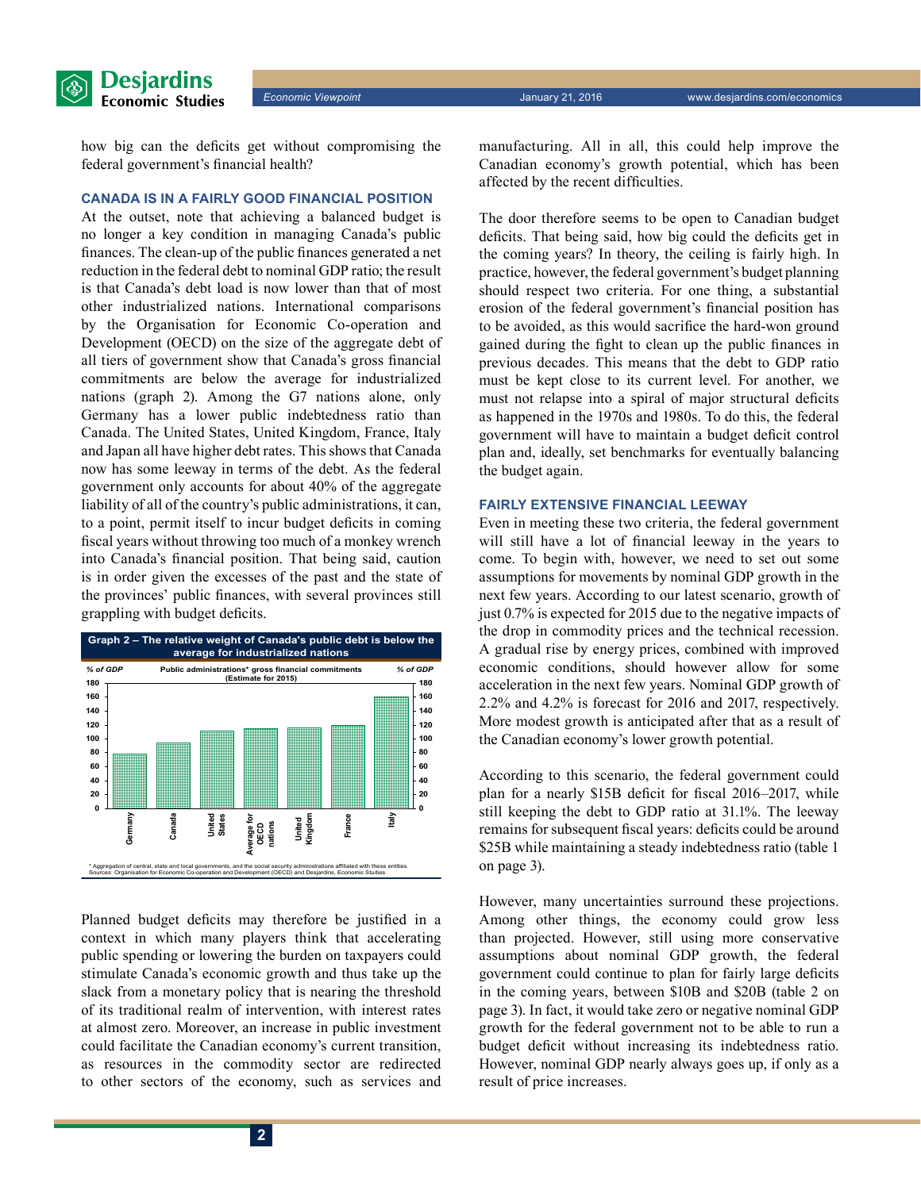*Economic Viewpoint* January 21, 2016 www.desjardins.com/economics

how big can the deficits get without compromising the federal government's financial health?

#### **Canada is in a fairly good financial position**

At the outset, note that achieving a balanced budget is no longer a key condition in managing Canada's public finances. The clean-up of the public finances generated a net reduction in the federal debt to nominal GDP ratio; the result is that Canada's debt load is now lower than that of most other industrialized nations. International comparisons by the Organisation for Economic Co-operation and Development (OECD) on the size of the aggregate debt of all tiers of government show that Canada's gross financial commitments are below the average for industrialized nations (graph 2). Among the G7 nations alone, only Germany has a lower public indebtedness ratio than Canada. The United States, United Kingdom, France, Italy and Japan all have higher debt rates. This shows that Canada now has some leeway in terms of the debt. As the federal government only accounts for about 40% of the aggregate liability of all of the country's public administrations, it can, to a point, permit itself to incur budget deficits in coming fiscal years without throwing too much of a monkey wrench into Canada's financial position. That being said, caution is in order given the excesses of the past and the state of the provinces' public finances, with several provinces still grappling with budget deficits.



Planned budget deficits may therefore be justified in a context in which many players think that accelerating public spending or lowering the burden on taxpayers could stimulate Canada's economic growth and thus take up the slack from a monetary policy that is nearing the threshold of its traditional realm of intervention, with interest rates at almost zero. Moreover, an increase in public investment could facilitate the Canadian economy's current transition, as resources in the commodity sector are redirected to other sectors of the economy, such as services and manufacturing. All in all, this could help improve the Canadian economy's growth potential, which has been affected by the recent difficulties.

The door therefore seems to be open to Canadian budget deficits. That being said, how big could the deficits get in the coming years? In theory, the ceiling is fairly high. In practice, however, the federal government's budget planning should respect two criteria. For one thing, a substantial erosion of the federal government's financial position has to be avoided, as this would sacrifice the hard-won ground gained during the fight to clean up the public finances in previous decades. This means that the debt to GDP ratio must be kept close to its current level. For another, we must not relapse into a spiral of major structural deficits as happened in the 1970s and 1980s. To do this, the federal government will have to maintain a budget deficit control plan and, ideally, set benchmarks for eventually balancing the budget again.

#### **Fairly extensive financial leeway**

Even in meeting these two criteria, the federal government will still have a lot of financial leeway in the years to come. To begin with, however, we need to set out some assumptions for movements by nominal GDP growth in the next few years. According to our latest scenario, growth of just 0.7% is expected for 2015 due to the negative impacts of the drop in commodity prices and the technical recession. A gradual rise by energy prices, combined with improved economic conditions, should however allow for some acceleration in the next few years. Nominal GDP growth of 2.2% and 4.2% is forecast for 2016 and 2017, respectively. More modest growth is anticipated after that as a result of the Canadian economy's lower growth potential.

According to this scenario, the federal government could plan for a nearly \$15B deficit for fiscal 2016–2017, while still keeping the debt to GDP ratio at 31.1%. The leeway remains for subsequent fiscal years: deficits could be around \$25B while maintaining a steady indebtedness ratio (table 1) on page 3).

However, many uncertainties surround these projections. Among other things, the economy could grow less than projected. However, still using more conservative assumptions about nominal GDP growth, the federal government could continue to plan for fairly large deficits in the coming years, between \$10B and \$20B (table 2 on page 3). In fact, it would take zero or negative nominal GDP growth for the federal government not to be able to run a budget deficit without increasing its indebtedness ratio. However, nominal GDP nearly always goes up, if only as a result of price increases.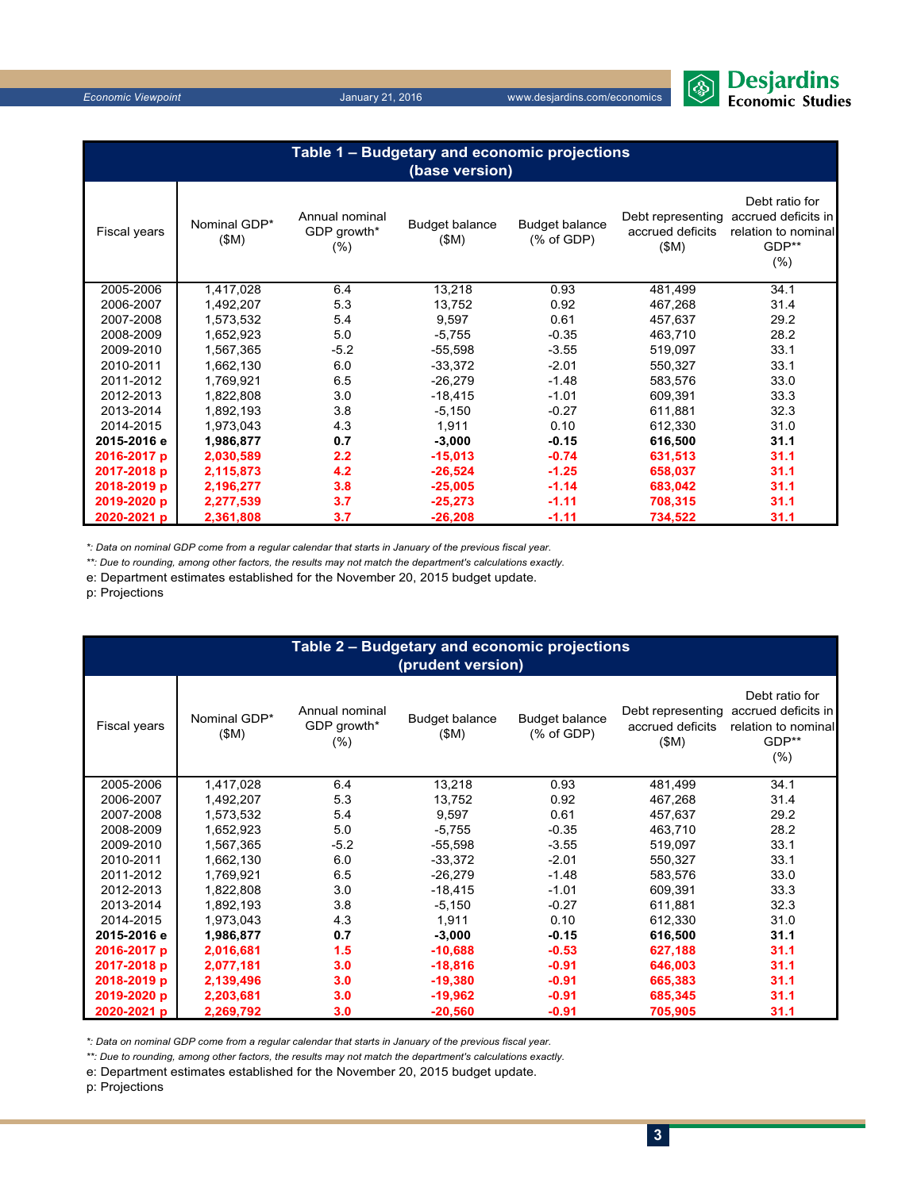

*Economic Viewpoint* January 21, 2016 www.desjardins.com/economics

| January 2 |  |
|-----------|--|
|           |  |

| Jaliualy 21, 2010 |  |  |  |
|-------------------|--|--|--|
|                   |  |  |  |

| Table 1 - Budgetary and economic projections<br>(base version) |                      |                                          |                               |                                                |                                               |                                                                                  |  |  |
|----------------------------------------------------------------|----------------------|------------------------------------------|-------------------------------|------------------------------------------------|-----------------------------------------------|----------------------------------------------------------------------------------|--|--|
| Fiscal years                                                   | Nominal GDP*<br>(SM) | Annual nominal<br>GDP growth*<br>$(\% )$ | <b>Budget balance</b><br>(SM) | <b>Budget balance</b><br>$(% )^{2}(x)$ of GDP) | Debt representing<br>accrued deficits<br>(SM) | Debt ratio for<br>accrued deficits in<br>relation to nominal<br>GDP**<br>$(\% )$ |  |  |
| 2005-2006                                                      | 1,417,028            | 6.4                                      | 13,218                        | 0.93                                           | 481,499                                       | 34.1                                                                             |  |  |
| 2006-2007                                                      | 1,492,207            | 5.3                                      | 13,752                        | 0.92                                           | 467,268                                       | 31.4                                                                             |  |  |
| 2007-2008                                                      | 1,573,532            | 5.4                                      | 9,597                         | 0.61                                           | 457,637                                       | 29.2                                                                             |  |  |
| 2008-2009                                                      | 1,652,923            | 5.0                                      | $-5,755$                      | $-0.35$                                        | 463,710                                       | 28.2                                                                             |  |  |
| 2009-2010                                                      | 1,567,365            | $-5.2$                                   | $-55,598$                     | $-3.55$                                        | 519,097                                       | 33.1                                                                             |  |  |
| 2010-2011                                                      | 1,662,130            | 6.0                                      | $-33,372$                     | $-2.01$                                        | 550,327                                       | 33.1                                                                             |  |  |
| 2011-2012                                                      | 1,769,921            | 6.5                                      | $-26,279$                     | $-1.48$                                        | 583,576                                       | 33.0                                                                             |  |  |
| 2012-2013                                                      | 1,822,808            | 3.0                                      | $-18,415$                     | $-1.01$                                        | 609.391                                       | 33.3                                                                             |  |  |
| 2013-2014                                                      | 1,892,193            | 3.8                                      | $-5,150$                      | $-0.27$                                        | 611,881                                       | 32.3                                                                             |  |  |
| 2014-2015                                                      | 1,973,043            | 4.3                                      | 1,911                         | 0.10                                           | 612,330                                       | 31.0                                                                             |  |  |
| 2015-2016 e                                                    | 1,986,877            | 0.7                                      | $-3,000$                      | $-0.15$                                        | 616,500                                       | 31.1                                                                             |  |  |
| 2016-2017 p                                                    | 2,030,589            | 2.2                                      | $-15,013$                     | $-0.74$                                        | 631,513                                       | 31.1                                                                             |  |  |
| 2017-2018 p                                                    | 2,115,873            | 4.2                                      | $-26,524$                     | $-1.25$                                        | 658,037                                       | 31.1                                                                             |  |  |
| 2018-2019 p                                                    | 2,196,277            | 3.8                                      | $-25,005$                     | $-1.14$                                        | 683,042                                       | 31.1                                                                             |  |  |
| 2019-2020 p                                                    | 2,277,539            | 3.7                                      | $-25,273$                     | $-1.11$                                        | 708,315                                       | 31.1                                                                             |  |  |
| 2020-2021 p                                                    | 2,361,808            | 3.7                                      | $-26,208$                     | $-1.11$                                        | 734,522                                       | 31.1                                                                             |  |  |

*\*: Data on nominal GDP come from a regular calendar that starts in January of the previous fiscal year.*

*\*\*: Due to rounding, among other factors, the results may not match the department's calculations exactly.*

e: Department estimates established for the November 20, 2015 budget update.

p: Projections

| Table 2 - Budgetary and economic projections<br>(prudent version) |                      |                                          |                               |                                     |                                               |                                                                                  |  |  |
|-------------------------------------------------------------------|----------------------|------------------------------------------|-------------------------------|-------------------------------------|-----------------------------------------------|----------------------------------------------------------------------------------|--|--|
| Fiscal years                                                      | Nominal GDP*<br>(SM) | Annual nominal<br>GDP growth*<br>$(\% )$ | <b>Budget balance</b><br>(SM) | <b>Budget balance</b><br>(% of GDP) | Debt representing<br>accrued deficits<br>(SM) | Debt ratio for<br>accrued deficits in<br>relation to nominal<br>GDP**<br>$(\% )$ |  |  |
| 2005-2006                                                         | 1,417,028            | 6.4                                      | 13,218                        | 0.93                                | 481,499                                       | 34.1                                                                             |  |  |
| 2006-2007                                                         | 1,492,207            | 5.3                                      | 13,752                        | 0.92                                | 467,268                                       | 31.4                                                                             |  |  |
| 2007-2008                                                         | 1,573,532            | 5.4                                      | 9,597                         | 0.61                                | 457,637                                       | 29.2                                                                             |  |  |
| 2008-2009                                                         | 1,652,923            | 5.0                                      | $-5,755$                      | $-0.35$                             | 463,710                                       | 28.2                                                                             |  |  |
| 2009-2010                                                         | 1,567,365            | $-5.2$                                   | $-55,598$                     | $-3.55$                             | 519,097                                       | 33.1                                                                             |  |  |
| 2010-2011                                                         | 1,662,130            | 6.0                                      | $-33,372$                     | $-2.01$                             | 550,327                                       | 33.1                                                                             |  |  |
| 2011-2012                                                         | 1,769,921            | 6.5                                      | $-26,279$                     | $-1.48$                             | 583,576                                       | 33.0                                                                             |  |  |
| 2012-2013                                                         | 1,822,808            | 3.0                                      | $-18,415$                     | $-1.01$                             | 609,391                                       | 33.3                                                                             |  |  |
| 2013-2014                                                         | 1,892,193            | 3.8                                      | $-5,150$                      | $-0.27$                             | 611,881                                       | 32.3                                                                             |  |  |
| 2014-2015                                                         | 1,973,043            | 4.3                                      | 1,911                         | 0.10                                | 612,330                                       | 31.0                                                                             |  |  |
| 2015-2016 e                                                       | 1,986,877            | 0.7                                      | $-3,000$                      | $-0.15$                             | 616,500                                       | 31.1                                                                             |  |  |
| 2016-2017 p                                                       | 2,016,681            | 1.5                                      | $-10,688$                     | $-0.53$                             | 627,188                                       | 31.1                                                                             |  |  |
| 2017-2018 p                                                       | 2,077,181            | 3.0                                      | $-18,816$                     | $-0.91$                             | 646,003                                       | 31.1                                                                             |  |  |
| 2018-2019 p                                                       | 2,139,496            | 3.0                                      | $-19,380$                     | $-0.91$                             | 665,383                                       | 31.1                                                                             |  |  |
| 2019-2020 p                                                       | 2,203,681            | 3.0                                      | $-19,962$                     | $-0.91$                             | 685,345                                       | 31.1                                                                             |  |  |
| 2020-2021 p                                                       | 2,269,792            | 3.0                                      | $-20,560$                     | $-0.91$                             | 705,905                                       | 31.1                                                                             |  |  |

*\*: Data on nominal GDP come from a regular calendar that starts in January of the previous fiscal year.*

*\*\*: Due to rounding, among other factors, the results may not match the department's calculations exactly.*

e: Department estimates established for the November 20, 2015 budget update.

p: Projections